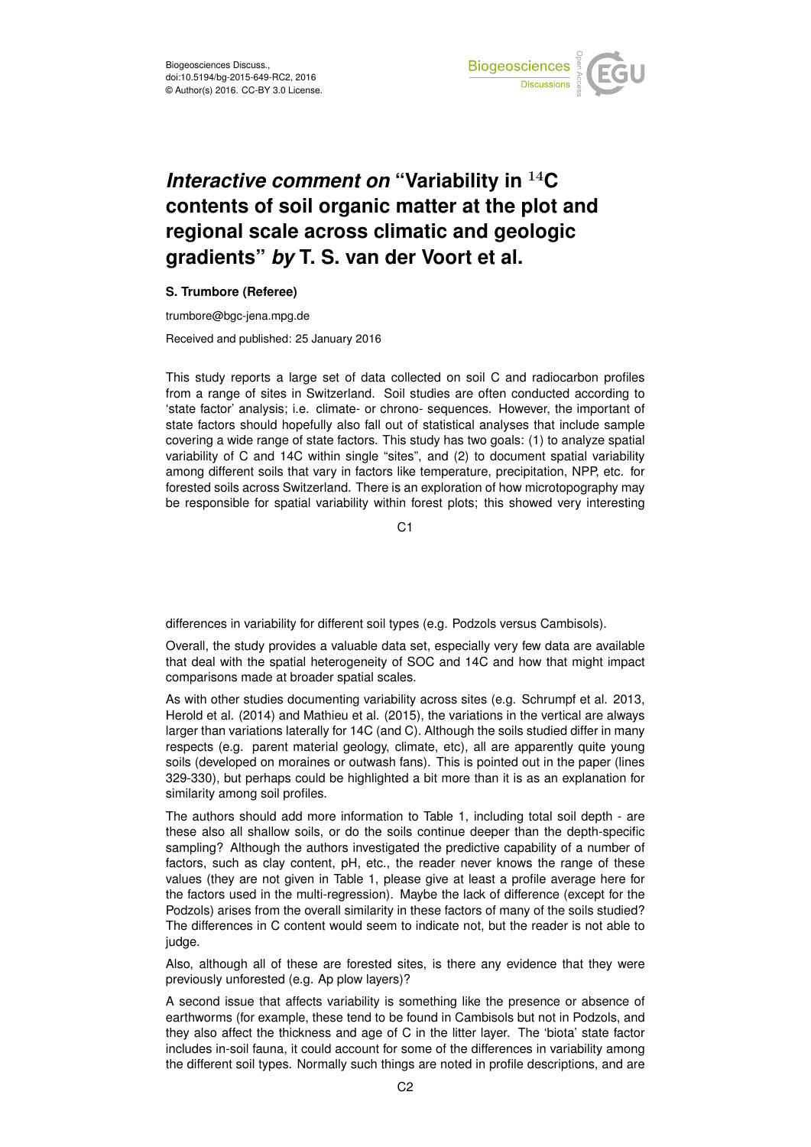

## *Interactive comment on* **"Variability in** <sup>14</sup>**C contents of soil organic matter at the plot and regional scale across climatic and geologic gradients"** *by* **T. S. van der Voort et al.**

## **S. Trumbore (Referee)**

trumbore@bgc-jena.mpg.de

Received and published: 25 January 2016

This study reports a large set of data collected on soil C and radiocarbon profiles from a range of sites in Switzerland. Soil studies are often conducted according to 'state factor' analysis; i.e. climate- or chrono- sequences. However, the important of state factors should hopefully also fall out of statistical analyses that include sample covering a wide range of state factors. This study has two goals: (1) to analyze spatial variability of C and 14C within single "sites", and (2) to document spatial variability among different soils that vary in factors like temperature, precipitation, NPP, etc. for forested soils across Switzerland. There is an exploration of how microtopography may be responsible for spatial variability within forest plots; this showed very interesting

C1

differences in variability for different soil types (e.g. Podzols versus Cambisols).

Overall, the study provides a valuable data set, especially very few data are available that deal with the spatial heterogeneity of SOC and 14C and how that might impact comparisons made at broader spatial scales.

As with other studies documenting variability across sites (e.g. Schrumpf et al. 2013, Herold et al. (2014) and Mathieu et al. (2015), the variations in the vertical are always larger than variations laterally for 14C (and C). Although the soils studied differ in many respects (e.g. parent material geology, climate, etc), all are apparently quite young soils (developed on moraines or outwash fans). This is pointed out in the paper (lines 329-330), but perhaps could be highlighted a bit more than it is as an explanation for similarity among soil profiles.

The authors should add more information to Table 1, including total soil depth - are these also all shallow soils, or do the soils continue deeper than the depth-specific sampling? Although the authors investigated the predictive capability of a number of factors, such as clay content, pH, etc., the reader never knows the range of these values (they are not given in Table 1, please give at least a profile average here for the factors used in the multi-regression). Maybe the lack of difference (except for the Podzols) arises from the overall similarity in these factors of many of the soils studied? The differences in C content would seem to indicate not, but the reader is not able to judge.

Also, although all of these are forested sites, is there any evidence that they were previously unforested (e.g. Ap plow layers)?

A second issue that affects variability is something like the presence or absence of earthworms (for example, these tend to be found in Cambisols but not in Podzols, and they also affect the thickness and age of C in the litter layer. The 'biota' state factor includes in-soil fauna, it could account for some of the differences in variability among the different soil types. Normally such things are noted in profile descriptions, and are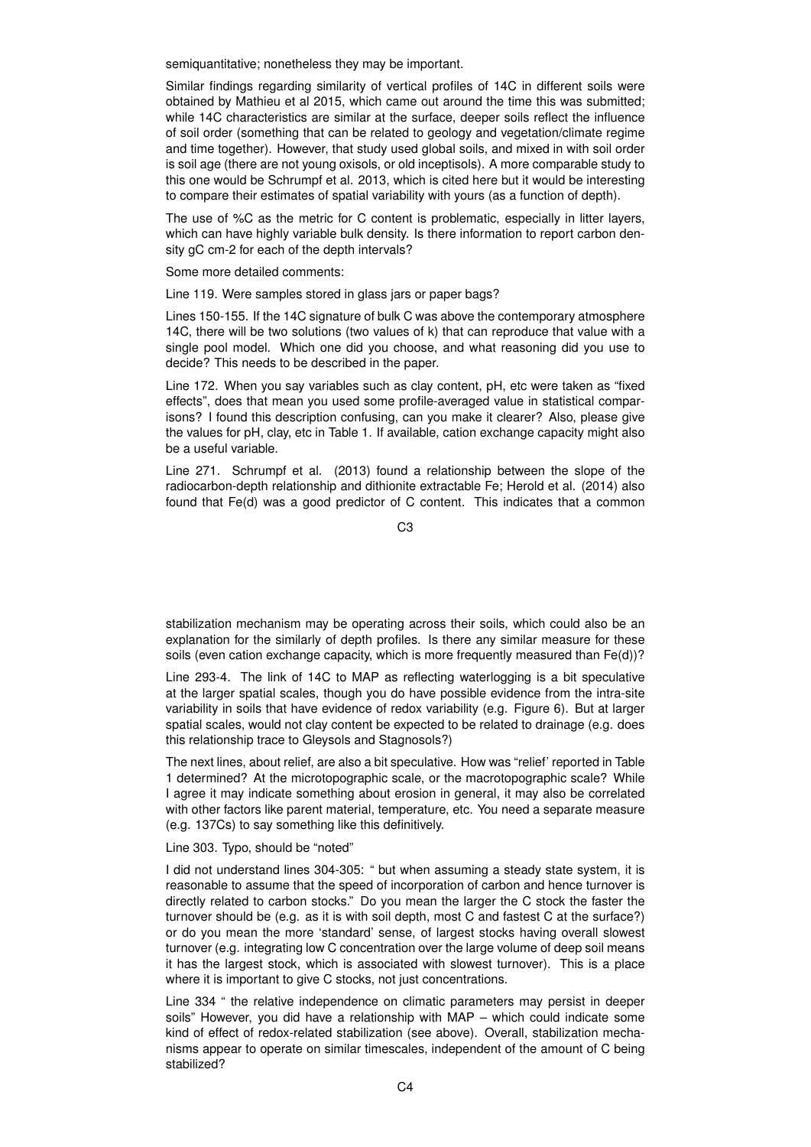semiquantitative; nonetheless they may be important.

Similar findings regarding similarity of vertical profiles of 14C in different soils were obtained by Mathieu et al 2015, which came out around the time this was submitted; while 14C characteristics are similar at the surface, deeper soils reflect the influence of soil order (something that can be related to geology and vegetation/climate regime and time together). However, that study used global soils, and mixed in with soil order is soil age (there are not young oxisols, or old inceptisols). A more comparable study to this one would be Schrumpf et al. 2013, which is cited here but it would be interesting to compare their estimates of spatial variability with yours (as a function of depth).

The use of %C as the metric for C content is problematic, especially in litter layers, which can have highly variable bulk density. Is there information to report carbon density gC cm-2 for each of the depth intervals?

Some more detailed comments:

Line 119. Were samples stored in glass jars or paper bags?

Lines 150-155. If the 14C signature of bulk C was above the contemporary atmosphere 14C, there will be two solutions (two values of k) that can reproduce that value with a single pool model. Which one did you choose, and what reasoning did you use to decide? This needs to be described in the paper.

Line 172. When you say variables such as clay content, pH, etc were taken as "fixed effects", does that mean you used some profile-averaged value in statistical comparisons? I found this description confusing, can you make it clearer? Also, please give the values for pH, clay, etc in Table 1. If available, cation exchange capacity might also be a useful variable.

Line 271. Schrumpf et al. (2013) found a relationship between the slope of the radiocarbon-depth relationship and dithionite extractable Fe; Herold et al. (2014) also found that Fe(d) was a good predictor of C content. This indicates that a common

C3

stabilization mechanism may be operating across their soils, which could also be an explanation for the similarly of depth profiles. Is there any similar measure for these soils (even cation exchange capacity, which is more frequently measured than Fe(d))?

Line 293-4. The link of 14C to MAP as reflecting waterlogging is a bit speculative at the larger spatial scales, though you do have possible evidence from the intra-site variability in soils that have evidence of redox variability (e.g. Figure 6). But at larger spatial scales, would not clay content be expected to be related to drainage (e.g. does this relationship trace to Gleysols and Stagnosols?)

The next lines, about relief, are also a bit speculative. How was "relief' reported in Table 1 determined? At the microtopographic scale, or the macrotopographic scale? While I agree it may indicate something about erosion in general, it may also be correlated with other factors like parent material, temperature, etc. You need a separate measure (e.g. 137Cs) to say something like this definitively.

Line 303. Typo, should be "noted"

I did not understand lines 304-305: " but when assuming a steady state system, it is reasonable to assume that the speed of incorporation of carbon and hence turnover is directly related to carbon stocks." Do you mean the larger the C stock the faster the turnover should be (e.g. as it is with soil depth, most C and fastest C at the surface?) or do you mean the more 'standard' sense, of largest stocks having overall slowest turnover (e.g. integrating low C concentration over the large volume of deep soil means it has the largest stock, which is associated with slowest turnover). This is a place where it is important to give C stocks, not just concentrations.

Line 334 " the relative independence on climatic parameters may persist in deeper soils" However, you did have a relationship with MAP – which could indicate some kind of effect of redox-related stabilization (see above). Overall, stabilization mechanisms appear to operate on similar timescales, independent of the amount of C being stabilized?